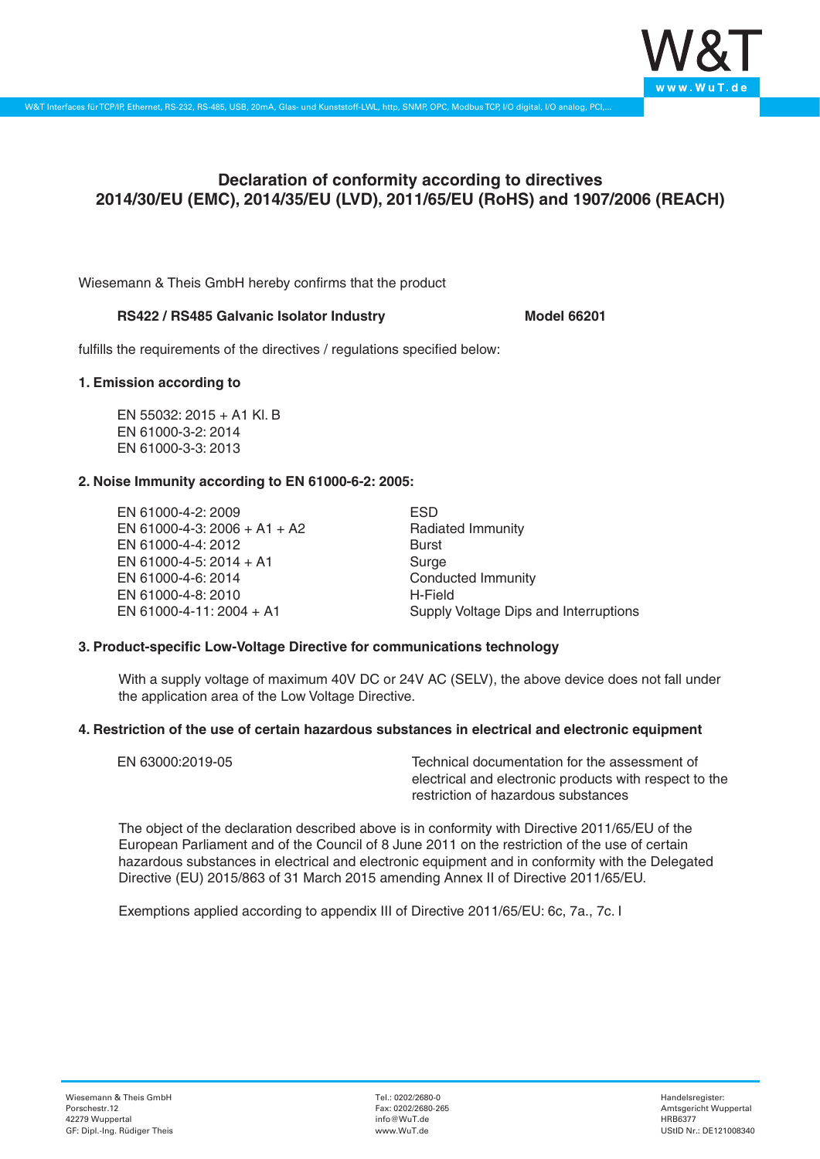

# **Declaration of conformity according to directives 2014/30/EU (EMC), 2014/35/EU (LVD), 2011/65/EU (RoHS) and 1907/2006 (REACH)**

Wiesemann & Theis GmbH hereby confirms that the product

# **RS422 / RS485 Galvanic Isolator Industry Model 66201**

fulfills the requirements of the directives / regulations specified below:

#### **1. Emission according to**

EN 55032: 2015 + A1 Kl. B EN 61000-3-2: 2014 EN 61000-3-3: 2013

# **2. Noise Immunity according to EN 61000-6-2: 2005:**

EN 61000-4-2: 2009 EN 61000-4-3: 2006 + A1 + A2 EN 61000-4-4: 2012 EN 61000-4-5: 2014 + A1 EN 61000-4-6: 2014 EN 61000-4-8: 2010 EN 61000-4-11: 2004 + A1

ESD Radiated Immunity Burst Surge Conducted Immunity H-Field Supply Voltage Dips and Interruptions

# **3. Product-specific Low-Voltage Directive for communications technology**

With a supply voltage of maximum 40V DC or 24V AC (SELV), the above device does not fall under the application area of the Low Voltage Directive.

#### **4. Restriction of the use of certain hazardous substances in electrical and electronic equipment**

| EN 63000:2019-05 | Technical documentation for the assessment of          |
|------------------|--------------------------------------------------------|
|                  | electrical and electronic products with respect to the |
|                  | restriction of hazardous substances                    |

The object of the declaration described above is in conformity with Directive 2011/65/EU of the European Parliament and of the Council of 8 June 2011 on the restriction of the use of certain hazardous substances in electrical and electronic equipment and in conformity with the Delegated Directive (EU) 2015/863 of 31 March 2015 amending Annex II of Directive 2011/65/EU.

Exemptions applied according to appendix III of Directive 2011/65/EU: 6c, 7a., 7c. I